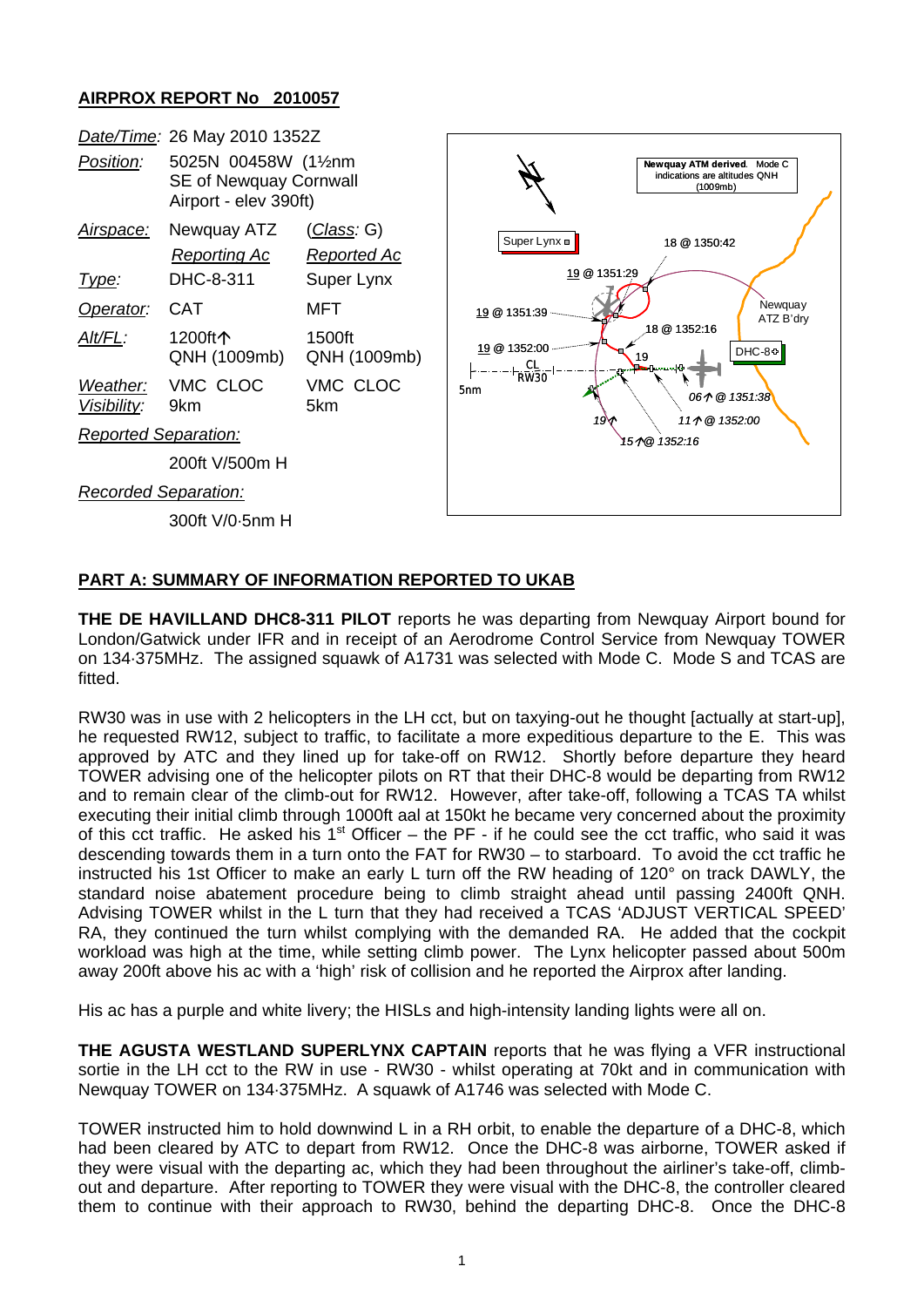## **AIRPROX REPORT No 2010057**

|                             | Date/Time: 26 May 2010 1352Z                                            |                                   |                                                                   |                             |  |
|-----------------------------|-------------------------------------------------------------------------|-----------------------------------|-------------------------------------------------------------------|-----------------------------|--|
| Position:                   | 5025N 00458W (11/2nm<br>SE of Newquay Cornwall<br>Airport - elev 390ft) |                                   | indications are altitudes QNH<br>(1009mb)                         | Newquay ATM derived. Mode C |  |
| <u>Airspace:</u>            | Newquay ATZ<br><b>Reporting Ac</b>                                      | <u>(Class</u> : G)<br>Reported Ac | Super Lynx =<br>18 @ 1350:42                                      |                             |  |
| <u>Type:</u>                | DHC-8-311                                                               | Super Lynx                        | 19 @ 1351:29                                                      |                             |  |
| Operator:                   | <b>CAT</b>                                                              | MFT                               | Newquay<br>19 @ 1351:39<br>ATZ B'dry                              |                             |  |
| Alt/FL:                     | 1200ft个<br>QNH (1009mb)                                                 | 1500ft<br>QNH (1009mb)            | 18 @ 1352:16<br>19 @ 1352:00<br>DHC-8+<br>19<br>$\frac{CL}{RW30}$ |                             |  |
| Weather:<br>Visibility:     | VMC CLOC<br>9km                                                         | VMC CLOC<br>5km                   | 5 <sub>nm</sub><br>061 @ 1351:38<br>111 @ 1352:00                 |                             |  |
| <b>Reported Separation:</b> |                                                                         |                                   | 19<br>151@1352:16                                                 |                             |  |
|                             | 200ft V/500m H                                                          |                                   |                                                                   |                             |  |
| <b>Recorded Separation:</b> |                                                                         |                                   |                                                                   |                             |  |
|                             | 300ft V/0-5nm H                                                         |                                   |                                                                   |                             |  |

## **PART A: SUMMARY OF INFORMATION REPORTED TO UKAB**

**THE DE HAVILLAND DHC8-311 PILOT** reports he was departing from Newquay Airport bound for London/Gatwick under IFR and in receipt of an Aerodrome Control Service from Newquay TOWER on 134·375MHz. The assigned squawk of A1731 was selected with Mode C. Mode S and TCAS are fitted.

RW30 was in use with 2 helicopters in the LH cct, but on taxying-out he thought [actually at start-up], he requested RW12, subject to traffic, to facilitate a more expeditious departure to the E. This was approved by ATC and they lined up for take-off on RW12. Shortly before departure they heard TOWER advising one of the helicopter pilots on RT that their DHC-8 would be departing from RW12 and to remain clear of the climb-out for RW12. However, after take-off, following a TCAS TA whilst executing their initial climb through 1000ft aal at 150kt he became very concerned about the proximity of this cct traffic. He asked his  $1<sup>st</sup>$  Officer – the PF - if he could see the cct traffic, who said it was descending towards them in a turn onto the FAT for RW30 – to starboard. To avoid the cct traffic he instructed his 1st Officer to make an early L turn off the RW heading of 120° on track DAWLY, the standard noise abatement procedure being to climb straight ahead until passing 2400ft QNH. Advising TOWER whilst in the L turn that they had received a TCAS 'ADJUST VERTICAL SPEED' RA, they continued the turn whilst complying with the demanded RA. He added that the cockpit workload was high at the time, while setting climb power. The Lynx helicopter passed about 500m away 200ft above his ac with a 'high' risk of collision and he reported the Airprox after landing.

His ac has a purple and white livery; the HISLs and high-intensity landing lights were all on.

**THE AGUSTA WESTLAND SUPERLYNX CAPTAIN** reports that he was flying a VFR instructional sortie in the LH cct to the RW in use - RW30 - whilst operating at 70kt and in communication with Newquay TOWER on 134·375MHz. A squawk of A1746 was selected with Mode C.

TOWER instructed him to hold downwind L in a RH orbit, to enable the departure of a DHC-8, which had been cleared by ATC to depart from RW12. Once the DHC-8 was airborne, TOWER asked if they were visual with the departing ac, which they had been throughout the airliner's take-off, climbout and departure. After reporting to TOWER they were visual with the DHC-8, the controller cleared them to continue with their approach to RW30, behind the departing DHC-8. Once the DHC-8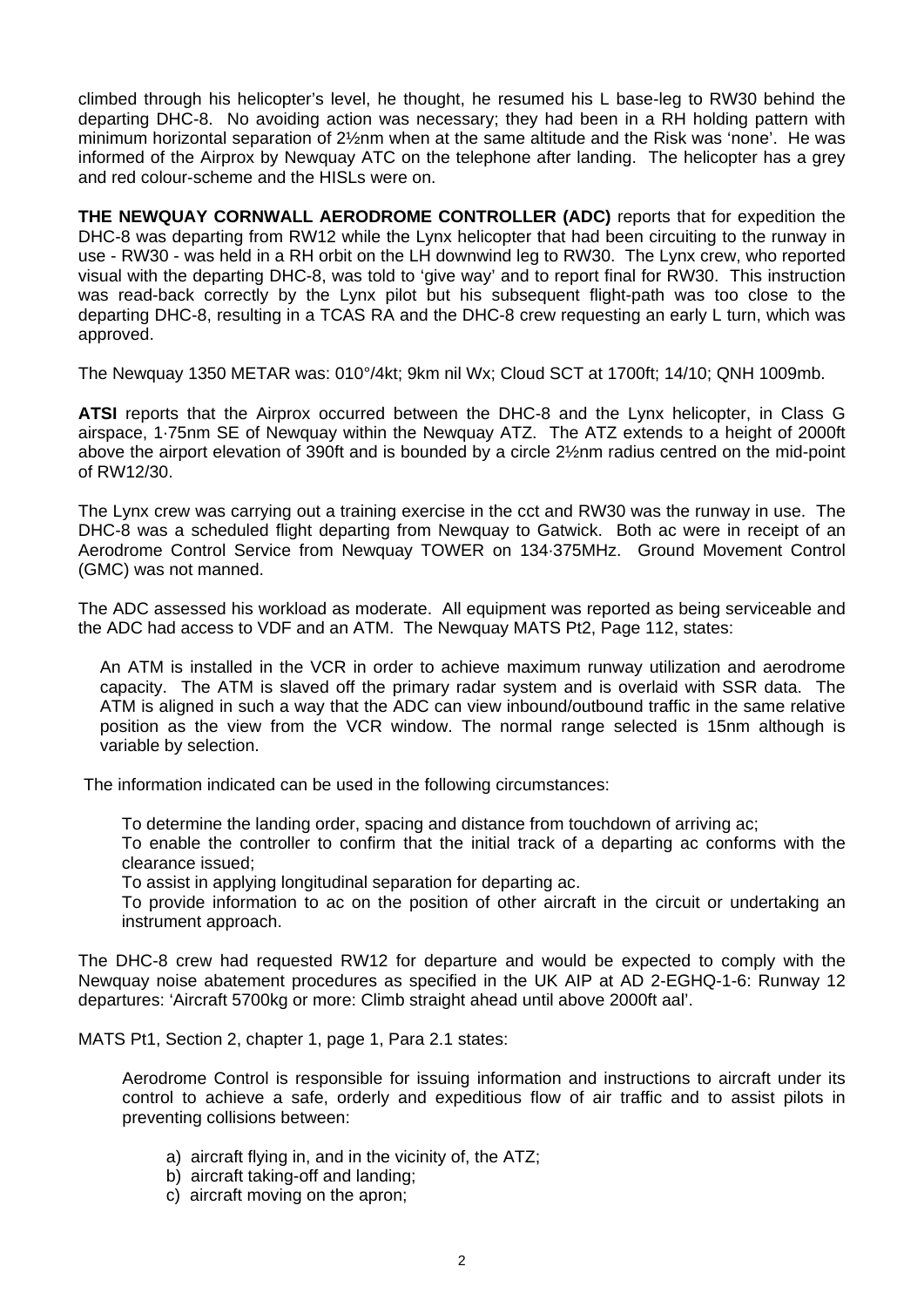climbed through his helicopter's level, he thought, he resumed his L base-leg to RW30 behind the departing DHC-8. No avoiding action was necessary; they had been in a RH holding pattern with minimum horizontal separation of 2½nm when at the same altitude and the Risk was 'none'. He was informed of the Airprox by Newquay ATC on the telephone after landing. The helicopter has a grey and red colour-scheme and the HISLs were on.

**THE NEWQUAY CORNWALL AERODROME CONTROLLER (ADC)** reports that for expedition the DHC-8 was departing from RW12 while the Lynx helicopter that had been circuiting to the runway in use - RW30 - was held in a RH orbit on the LH downwind leg to RW30. The Lynx crew, who reported visual with the departing DHC-8, was told to 'give way' and to report final for RW30. This instruction was read-back correctly by the Lynx pilot but his subsequent flight-path was too close to the departing DHC-8, resulting in a TCAS RA and the DHC-8 crew requesting an early L turn, which was approved.

The Newquay 1350 METAR was: 010°/4kt; 9km nil Wx; Cloud SCT at 1700ft; 14/10; QNH 1009mb.

**ATSI** reports that the Airprox occurred between the DHC-8 and the Lynx helicopter, in Class G airspace, 1·75nm SE of Newquay within the Newquay ATZ. The ATZ extends to a height of 2000ft above the airport elevation of 390ft and is bounded by a circle 2½nm radius centred on the mid-point of RW12/30.

The Lynx crew was carrying out a training exercise in the cct and RW30 was the runway in use. The DHC-8 was a scheduled flight departing from Newquay to Gatwick. Both ac were in receipt of an Aerodrome Control Service from Newquay TOWER on 134·375MHz. Ground Movement Control (GMC) was not manned.

The ADC assessed his workload as moderate. All equipment was reported as being serviceable and the ADC had access to VDF and an ATM. The Newquay MATS Pt2, Page 112, states:

An ATM is installed in the VCR in order to achieve maximum runway utilization and aerodrome capacity. The ATM is slaved off the primary radar system and is overlaid with SSR data. The ATM is aligned in such a way that the ADC can view inbound/outbound traffic in the same relative position as the view from the VCR window. The normal range selected is 15nm although is variable by selection.

The information indicated can be used in the following circumstances:

To determine the landing order, spacing and distance from touchdown of arriving ac;

To enable the controller to confirm that the initial track of a departing ac conforms with the clearance issued;

To assist in applying longitudinal separation for departing ac.

To provide information to ac on the position of other aircraft in the circuit or undertaking an instrument approach.

The DHC-8 crew had requested RW12 for departure and would be expected to comply with the Newquay noise abatement procedures as specified in the UK AIP at AD 2-EGHQ-1-6: Runway 12 departures: 'Aircraft 5700kg or more: Climb straight ahead until above 2000ft aal'.

MATS Pt1, Section 2, chapter 1, page 1, Para 2.1 states:

Aerodrome Control is responsible for issuing information and instructions to aircraft under its control to achieve a safe, orderly and expeditious flow of air traffic and to assist pilots in preventing collisions between:

- a) aircraft flying in, and in the vicinity of, the ATZ;
- b) aircraft taking-off and landing;
- c) aircraft moving on the apron;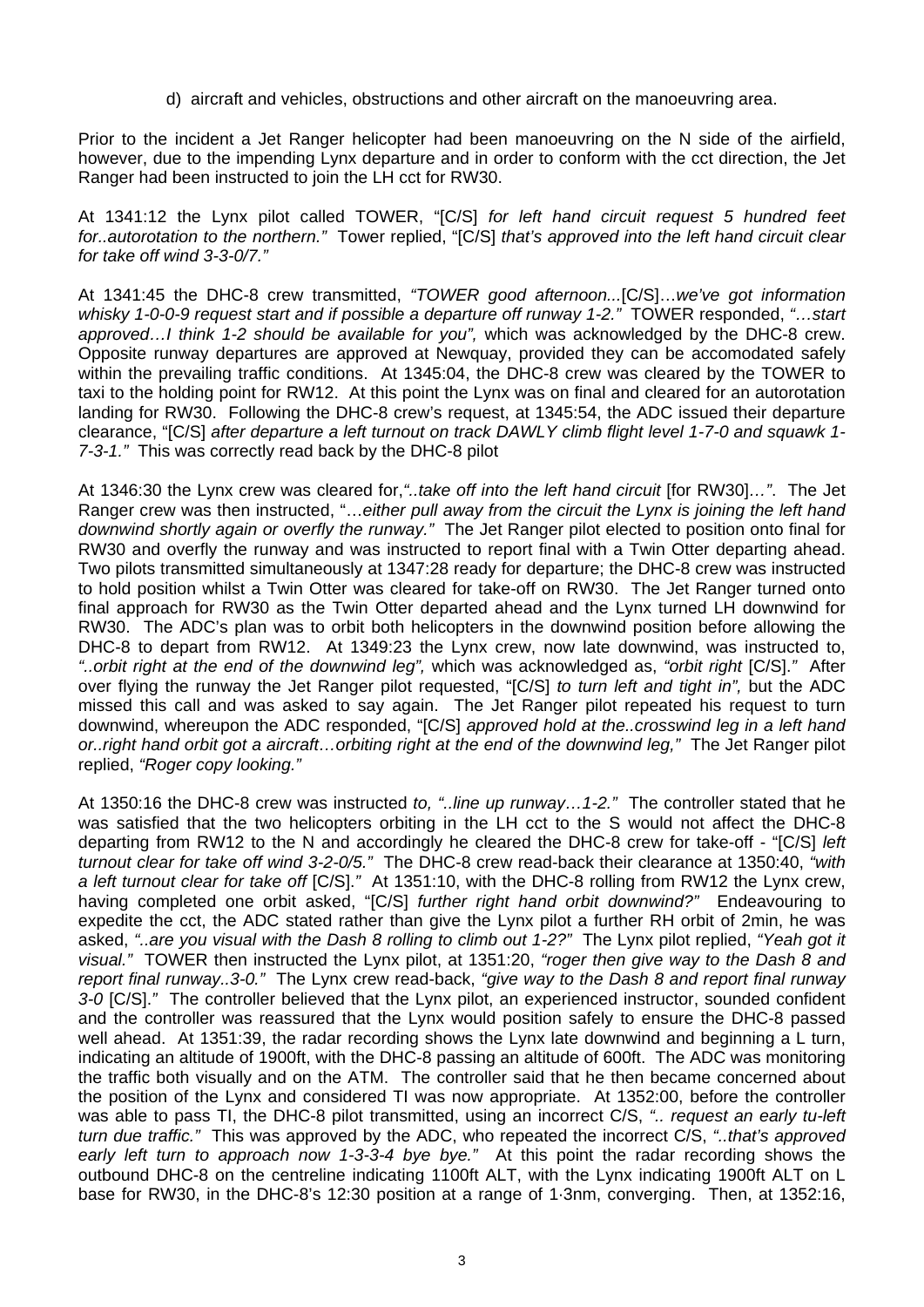d) aircraft and vehicles, obstructions and other aircraft on the manoeuvring area.

Prior to the incident a Jet Ranger helicopter had been manoeuvring on the N side of the airfield, however, due to the impending Lynx departure and in order to conform with the cct direction, the Jet Ranger had been instructed to join the LH cct for RW30.

At 1341:12 the Lynx pilot called TOWER, "[C/S] *for left hand circuit request 5 hundred feet for..autorotation to the northern."* Tower replied, "[C/S] *that's approved into the left hand circuit clear for take off wind 3-3-0/7."* 

At 1341:45 the DHC-8 crew transmitted, *"TOWER good afternoon...*[C/S]…*we've got information whisky 1-0-0-9 request start and if possible a departure off runway 1-2."* TOWER responded, *"…start approved…I think 1-2 should be available for you",* which was acknowledged by the DHC-8 crew. Opposite runway departures are approved at Newquay, provided they can be accomodated safely within the prevailing traffic conditions. At 1345:04, the DHC-8 crew was cleared by the TOWER to taxi to the holding point for RW12. At this point the Lynx was on final and cleared for an autorotation landing for RW30. Following the DHC-8 crew's request, at 1345:54, the ADC issued their departure clearance, "[C/S] *after departure a left turnout on track DAWLY climb flight level 1-7-0 and squawk 1- 7-3-1."* This was correctly read back by the DHC-8 pilot

At 1346:30 the Lynx crew was cleared for,*"..take off into the left hand circuit* [for RW30]*…"*. The Jet Ranger crew was then instructed, "…*either pull away from the circuit the Lynx is joining the left hand downwind shortly again or overfly the runway."* The Jet Ranger pilot elected to position onto final for RW30 and overfly the runway and was instructed to report final with a Twin Otter departing ahead. Two pilots transmitted simultaneously at 1347:28 ready for departure; the DHC-8 crew was instructed to hold position whilst a Twin Otter was cleared for take-off on RW30. The Jet Ranger turned onto final approach for RW30 as the Twin Otter departed ahead and the Lynx turned LH downwind for RW30. The ADC's plan was to orbit both helicopters in the downwind position before allowing the DHC-8 to depart from RW12. At 1349:23 the Lynx crew, now late downwind, was instructed to, *"..orbit right at the end of the downwind leg",* which was acknowledged as, *"orbit right* [C/S].*"* After over flying the runway the Jet Ranger pilot requested, "[C/S] *to turn left and tight in",* but the ADC missed this call and was asked to say again. The Jet Ranger pilot repeated his request to turn downwind, whereupon the ADC responded, "[C/S] *approved hold at the..crosswind leg in a left hand or..right hand orbit got a aircraft…orbiting right at the end of the downwind leg,"* The Jet Ranger pilot replied, *"Roger copy looking."* 

At 1350:16 the DHC-8 crew was instructed *to, "..line up runway…1-2."* The controller stated that he was satisfied that the two helicopters orbiting in the LH cct to the S would not affect the DHC-8 departing from RW12 to the N and accordingly he cleared the DHC-8 crew for take-off - "[C/S] *left turnout clear for take off wind 3-2-0/5."* The DHC-8 crew read-back their clearance at 1350:40, *"with a left turnout clear for take off* [C/S].*"* At 1351:10, with the DHC-8 rolling from RW12 the Lynx crew, having completed one orbit asked, "[C/S] *further right hand orbit downwind?"* Endeavouring to expedite the cct, the ADC stated rather than give the Lynx pilot a further RH orbit of 2min, he was asked, *"..are you visual with the Dash 8 rolling to climb out 1-2?"* The Lynx pilot replied, *"Yeah got it visual."* TOWER then instructed the Lynx pilot, at 1351:20, *"roger then give way to the Dash 8 and report final runway..3-0."* The Lynx crew read-back, *"give way to the Dash 8 and report final runway 3-0* [C/S].*"* The controller believed that the Lynx pilot, an experienced instructor, sounded confident and the controller was reassured that the Lynx would position safely to ensure the DHC-8 passed well ahead. At 1351:39, the radar recording shows the Lynx late downwind and beginning a L turn, indicating an altitude of 1900ft, with the DHC-8 passing an altitude of 600ft. The ADC was monitoring the traffic both visually and on the ATM. The controller said that he then became concerned about the position of the Lynx and considered TI was now appropriate. At 1352:00, before the controller was able to pass TI, the DHC-8 pilot transmitted, using an incorrect C/S, *".. request an early tu-left turn due traffic."* This was approved by the ADC, who repeated the incorrect C/S, *"..that's approved early left turn to approach now 1-3-3-4 bye bye."* At this point the radar recording shows the outbound DHC-8 on the centreline indicating 1100ft ALT, with the Lynx indicating 1900ft ALT on L base for RW30, in the DHC-8's 12:30 position at a range of 1·3nm, converging. Then, at 1352:16,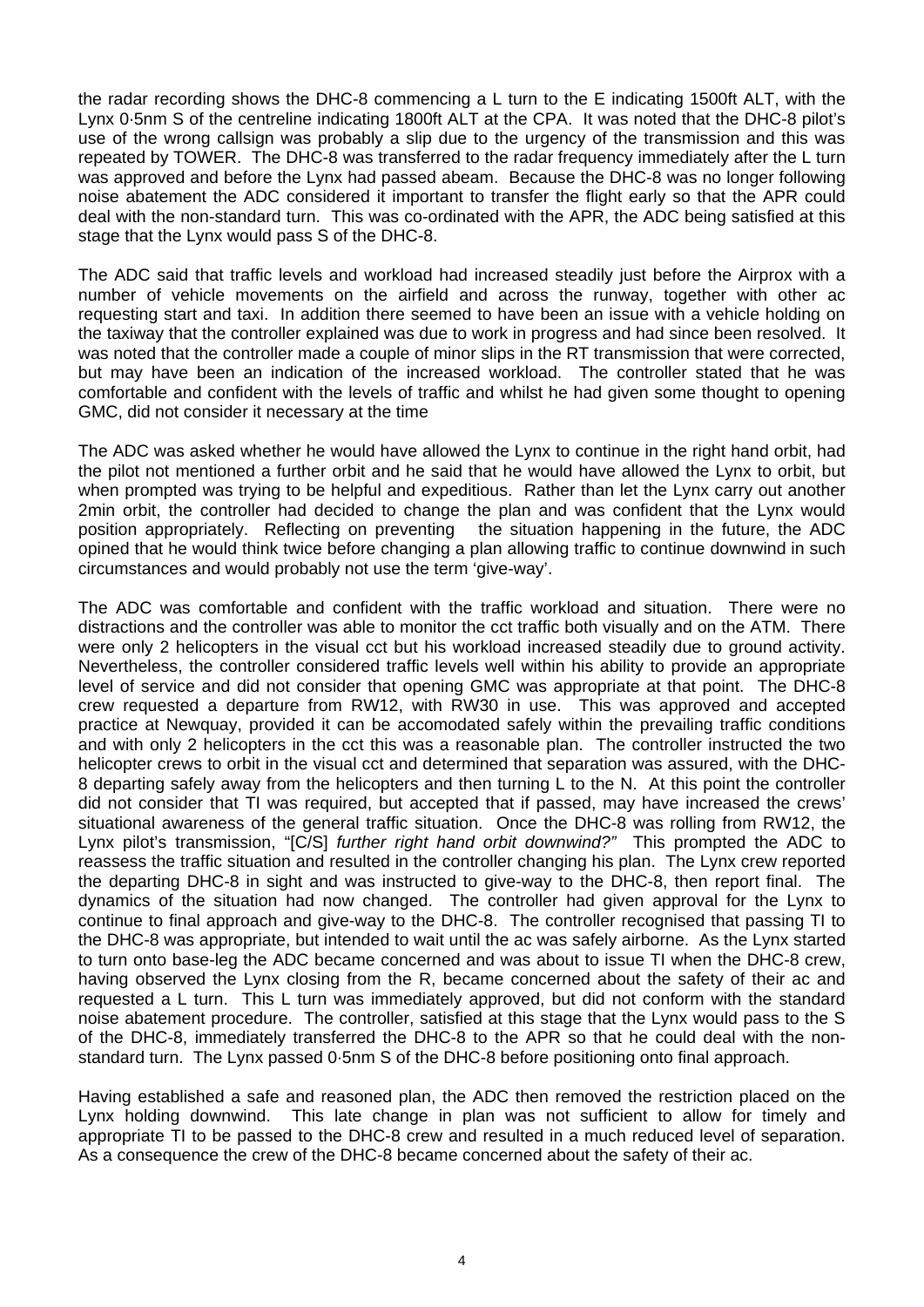the radar recording shows the DHC-8 commencing a L turn to the E indicating 1500ft ALT, with the Lynx 0·5nm S of the centreline indicating 1800ft ALT at the CPA. It was noted that the DHC-8 pilot's use of the wrong callsign was probably a slip due to the urgency of the transmission and this was repeated by TOWER. The DHC-8 was transferred to the radar frequency immediately after the L turn was approved and before the Lynx had passed abeam. Because the DHC-8 was no longer following noise abatement the ADC considered it important to transfer the flight early so that the APR could deal with the non-standard turn. This was co-ordinated with the APR, the ADC being satisfied at this stage that the Lynx would pass S of the DHC-8.

The ADC said that traffic levels and workload had increased steadily just before the Airprox with a number of vehicle movements on the airfield and across the runway, together with other ac requesting start and taxi. In addition there seemed to have been an issue with a vehicle holding on the taxiway that the controller explained was due to work in progress and had since been resolved. It was noted that the controller made a couple of minor slips in the RT transmission that were corrected, but may have been an indication of the increased workload. The controller stated that he was comfortable and confident with the levels of traffic and whilst he had given some thought to opening GMC, did not consider it necessary at the time

The ADC was asked whether he would have allowed the Lynx to continue in the right hand orbit, had the pilot not mentioned a further orbit and he said that he would have allowed the Lynx to orbit, but when prompted was trying to be helpful and expeditious. Rather than let the Lynx carry out another 2min orbit, the controller had decided to change the plan and was confident that the Lynx would position appropriately. Reflecting on preventing the situation happening in the future, the ADC opined that he would think twice before changing a plan allowing traffic to continue downwind in such circumstances and would probably not use the term 'give-way'.

The ADC was comfortable and confident with the traffic workload and situation. There were no distractions and the controller was able to monitor the cct traffic both visually and on the ATM. There were only 2 helicopters in the visual cct but his workload increased steadily due to ground activity. Nevertheless, the controller considered traffic levels well within his ability to provide an appropriate level of service and did not consider that opening GMC was appropriate at that point. The DHC-8 crew requested a departure from RW12, with RW30 in use. This was approved and accepted practice at Newquay, provided it can be accomodated safely within the prevailing traffic conditions and with only 2 helicopters in the cct this was a reasonable plan. The controller instructed the two helicopter crews to orbit in the visual cct and determined that separation was assured, with the DHC-8 departing safely away from the helicopters and then turning L to the N. At this point the controller did not consider that TI was required, but accepted that if passed, may have increased the crews' situational awareness of the general traffic situation. Once the DHC-8 was rolling from RW12, the Lynx pilot's transmission, "[C/S] *further right hand orbit downwind?"* This prompted the ADC to reassess the traffic situation and resulted in the controller changing his plan. The Lynx crew reported the departing DHC-8 in sight and was instructed to give-way to the DHC-8, then report final. The dynamics of the situation had now changed. The controller had given approval for the Lynx to continue to final approach and give-way to the DHC-8. The controller recognised that passing TI to the DHC-8 was appropriate, but intended to wait until the ac was safely airborne. As the Lynx started to turn onto base-leg the ADC became concerned and was about to issue TI when the DHC-8 crew, having observed the Lynx closing from the R, became concerned about the safety of their ac and requested a L turn. This L turn was immediately approved, but did not conform with the standard noise abatement procedure. The controller, satisfied at this stage that the Lynx would pass to the S of the DHC-8, immediately transferred the DHC-8 to the APR so that he could deal with the nonstandard turn. The Lynx passed 0·5nm S of the DHC-8 before positioning onto final approach.

Having established a safe and reasoned plan, the ADC then removed the restriction placed on the Lynx holding downwind. This late change in plan was not sufficient to allow for timely and appropriate TI to be passed to the DHC-8 crew and resulted in a much reduced level of separation. As a consequence the crew of the DHC-8 became concerned about the safety of their ac.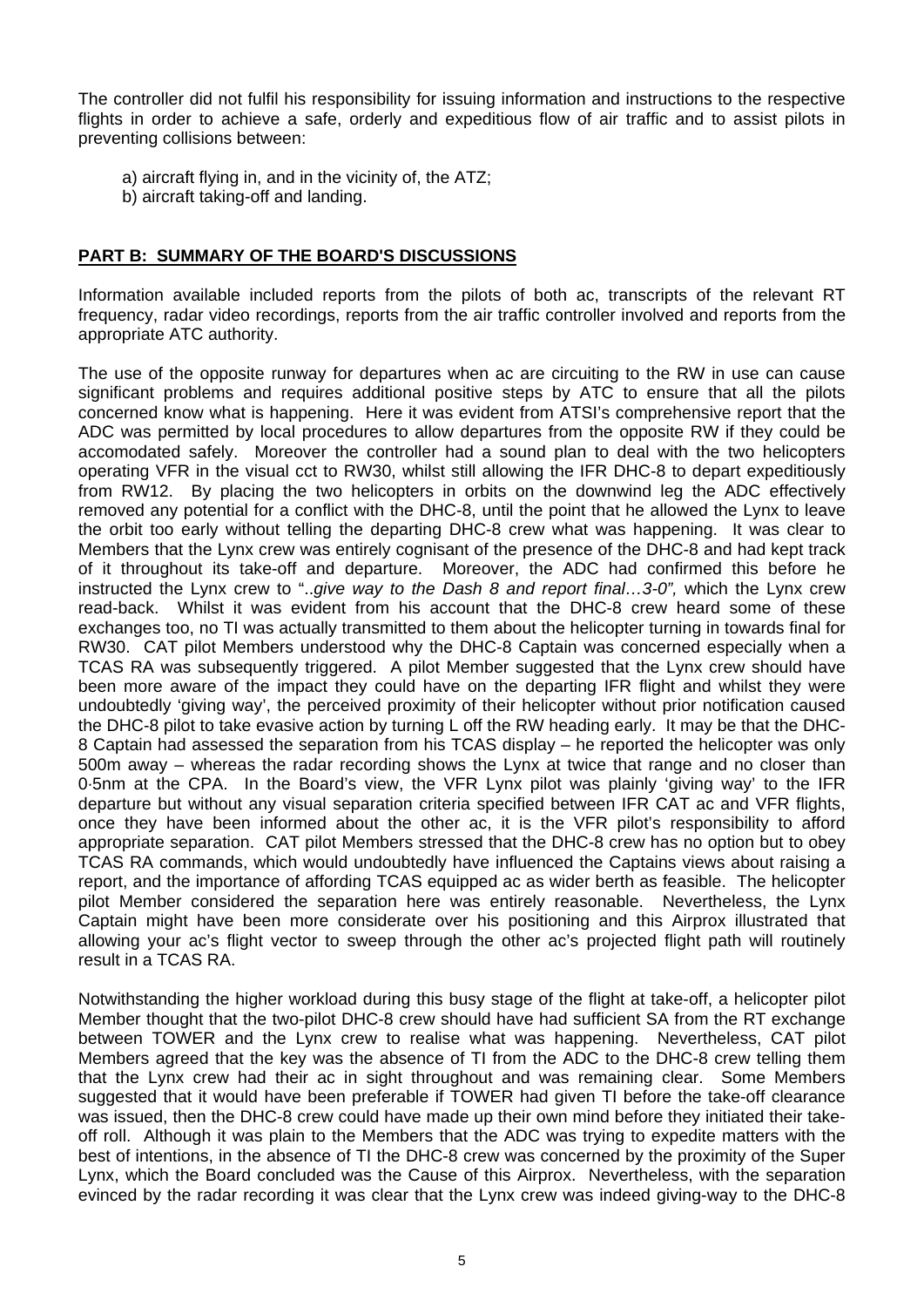The controller did not fulfil his responsibility for issuing information and instructions to the respective flights in order to achieve a safe, orderly and expeditious flow of air traffic and to assist pilots in preventing collisions between:

- a) aircraft flying in, and in the vicinity of, the ATZ;
- b) aircraft taking-off and landing.

## **PART B: SUMMARY OF THE BOARD'S DISCUSSIONS**

Information available included reports from the pilots of both ac, transcripts of the relevant RT frequency, radar video recordings, reports from the air traffic controller involved and reports from the appropriate ATC authority.

The use of the opposite runway for departures when ac are circuiting to the RW in use can cause significant problems and requires additional positive steps by ATC to ensure that all the pilots concerned know what is happening. Here it was evident from ATSI's comprehensive report that the ADC was permitted by local procedures to allow departures from the opposite RW if they could be accomodated safely. Moreover the controller had a sound plan to deal with the two helicopters operating VFR in the visual cct to RW30, whilst still allowing the IFR DHC-8 to depart expeditiously from RW12. By placing the two helicopters in orbits on the downwind leg the ADC effectively removed any potential for a conflict with the DHC-8, until the point that he allowed the Lynx to leave the orbit too early without telling the departing DHC-8 crew what was happening. It was clear to Members that the Lynx crew was entirely cognisant of the presence of the DHC-8 and had kept track of it throughout its take-off and departure. Moreover, the ADC had confirmed this before he instructed the Lynx crew to "..*give way to the Dash 8 and report final…3-0",* which the Lynx crew read-back. Whilst it was evident from his account that the DHC-8 crew heard some of these exchanges too, no TI was actually transmitted to them about the helicopter turning in towards final for RW30. CAT pilot Members understood why the DHC-8 Captain was concerned especially when a TCAS RA was subsequently triggered. A pilot Member suggested that the Lynx crew should have been more aware of the impact they could have on the departing IFR flight and whilst they were undoubtedly 'giving way', the perceived proximity of their helicopter without prior notification caused the DHC-8 pilot to take evasive action by turning L off the RW heading early. It may be that the DHC-8 Captain had assessed the separation from his TCAS display – he reported the helicopter was only 500m away – whereas the radar recording shows the Lynx at twice that range and no closer than 0·5nm at the CPA. In the Board's view, the VFR Lynx pilot was plainly 'giving way' to the IFR departure but without any visual separation criteria specified between IFR CAT ac and VFR flights, once they have been informed about the other ac, it is the VFR pilot's responsibility to afford appropriate separation. CAT pilot Members stressed that the DHC-8 crew has no option but to obey TCAS RA commands, which would undoubtedly have influenced the Captains views about raising a report, and the importance of affording TCAS equipped ac as wider berth as feasible. The helicopter pilot Member considered the separation here was entirely reasonable. Nevertheless, the Lynx Captain might have been more considerate over his positioning and this Airprox illustrated that allowing your ac's flight vector to sweep through the other ac's projected flight path will routinely result in a TCAS RA.

Notwithstanding the higher workload during this busy stage of the flight at take-off, a helicopter pilot Member thought that the two-pilot DHC-8 crew should have had sufficient SA from the RT exchange between TOWER and the Lynx crew to realise what was happening. Nevertheless, CAT pilot Members agreed that the key was the absence of TI from the ADC to the DHC-8 crew telling them that the Lynx crew had their ac in sight throughout and was remaining clear. Some Members suggested that it would have been preferable if TOWER had given TI before the take-off clearance was issued, then the DHC-8 crew could have made up their own mind before they initiated their takeoff roll. Although it was plain to the Members that the ADC was trying to expedite matters with the best of intentions, in the absence of TI the DHC-8 crew was concerned by the proximity of the Super Lynx, which the Board concluded was the Cause of this Airprox. Nevertheless, with the separation evinced by the radar recording it was clear that the Lynx crew was indeed giving-way to the DHC-8